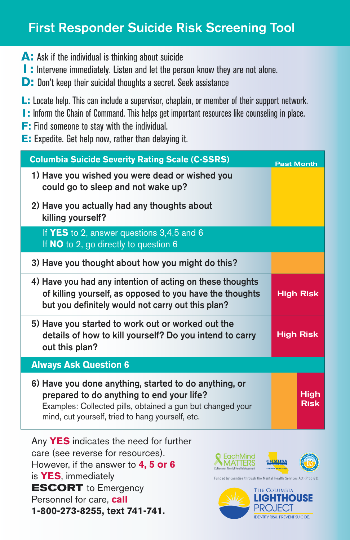## First Responder Suicide Risk Screening Tool

- **A:** Ask if the individual is thinking about suicide
- **I:** Intervene immediately. Listen and let the person know they are not alone.
- **D:** Don't keep their suicidal thoughts a secret. Seek assistance
- **L:** Locate help. This can include a supervisor, chaplain, or member of their support network.
- **I:** Inform the Chain of Command. This helps get important resources like counseling in place.
- **F:** Find someone to stay with the individual.
- **E:** Expedite. Get help now, rather than delaying it.

| <b>Columbia Suicide Severity Rating Scale (C-SSRS)</b>                                                                                                                                                               | <b>Past Month</b> |                     |
|----------------------------------------------------------------------------------------------------------------------------------------------------------------------------------------------------------------------|-------------------|---------------------|
| 1) Have you wished you were dead or wished you<br>could go to sleep and not wake up?                                                                                                                                 |                   |                     |
| 2) Have you actually had any thoughts about<br>killing yourself?                                                                                                                                                     |                   |                     |
| If YES to 2, answer questions 3,4,5 and 6<br>If NO to 2, go directly to question 6                                                                                                                                   |                   |                     |
| 3) Have you thought about how you might do this?                                                                                                                                                                     |                   |                     |
| 4) Have you had any intention of acting on these thoughts<br>of killing yourself, as opposed to you have the thoughts<br>but you definitely would not carry out this plan?                                           | <b>High Risk</b>  |                     |
| 5) Have you started to work out or worked out the<br>details of how to kill yourself? Do you intend to carry<br>out this plan?                                                                                       | <b>High Risk</b>  |                     |
| <b>Always Ask Question 6</b>                                                                                                                                                                                         |                   |                     |
| 6) Have you done anything, started to do anything, or<br>prepared to do anything to end your life?<br>Examples: Collected pills, obtained a gun but changed your<br>mind, cut yourself, tried to hang yourself, etc. |                   | High<br><b>Risk</b> |

Any **YES** indicates the need for further care (see reverse for resources). However, if the answer to **4, 5 or 6** is **YES**, immediately **ESCORT** to Emergency Personnel for care, **call 1-800-273-8255, text 741-741.**



Funded by counties through the Mental Health Services Act (I